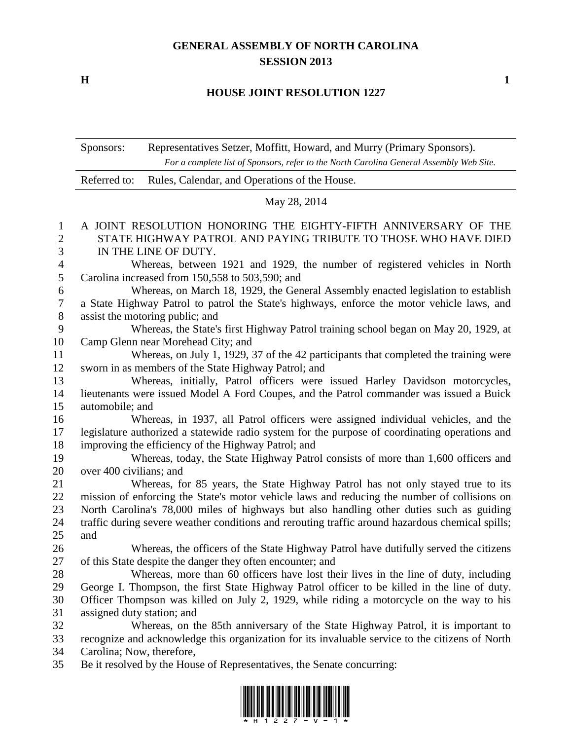## **GENERAL ASSEMBLY OF NORTH CAROLINA SESSION 2013**

**H 1**

## **HOUSE JOINT RESOLUTION 1227**

Sponsors: Representatives Setzer, Moffitt, Howard, and Murry (Primary Sponsors). *For a complete list of Sponsors, refer to the North Carolina General Assembly Web Site.*

| Referred to: Rules, Calendar, and Operations of the House. |
|------------------------------------------------------------|
|                                                            |

## May 28, 2014

## A JOINT RESOLUTION HONORING THE EIGHTY-FIFTH ANNIVERSARY OF THE STATE HIGHWAY PATROL AND PAYING TRIBUTE TO THOSE WHO HAVE DIED IN THE LINE OF DUTY.

 Whereas, between 1921 and 1929, the number of registered vehicles in North Carolina increased from 150,558 to 503,590; and

 Whereas, on March 18, 1929, the General Assembly enacted legislation to establish a State Highway Patrol to patrol the State's highways, enforce the motor vehicle laws, and assist the motoring public; and

 Whereas, the State's first Highway Patrol training school began on May 20, 1929, at Camp Glenn near Morehead City; and

 Whereas, on July 1, 1929, 37 of the 42 participants that completed the training were sworn in as members of the State Highway Patrol; and

 Whereas, initially, Patrol officers were issued Harley Davidson motorcycles, lieutenants were issued Model A Ford Coupes, and the Patrol commander was issued a Buick automobile; and

 Whereas, in 1937, all Patrol officers were assigned individual vehicles, and the legislature authorized a statewide radio system for the purpose of coordinating operations and improving the efficiency of the Highway Patrol; and

 Whereas, today, the State Highway Patrol consists of more than 1,600 officers and over 400 civilians; and

 Whereas, for 85 years, the State Highway Patrol has not only stayed true to its mission of enforcing the State's motor vehicle laws and reducing the number of collisions on North Carolina's 78,000 miles of highways but also handling other duties such as guiding traffic during severe weather conditions and rerouting traffic around hazardous chemical spills; and

26 Whereas, the officers of the State Highway Patrol have dutifully served the citizens of this State despite the danger they often encounter; and

 Whereas, more than 60 officers have lost their lives in the line of duty, including George I. Thompson, the first State Highway Patrol officer to be killed in the line of duty. Officer Thompson was killed on July 2, 1929, while riding a motorcycle on the way to his assigned duty station; and

 Whereas, on the 85th anniversary of the State Highway Patrol, it is important to recognize and acknowledge this organization for its invaluable service to the citizens of North Carolina; Now, therefore,

Be it resolved by the House of Representatives, the Senate concurring: